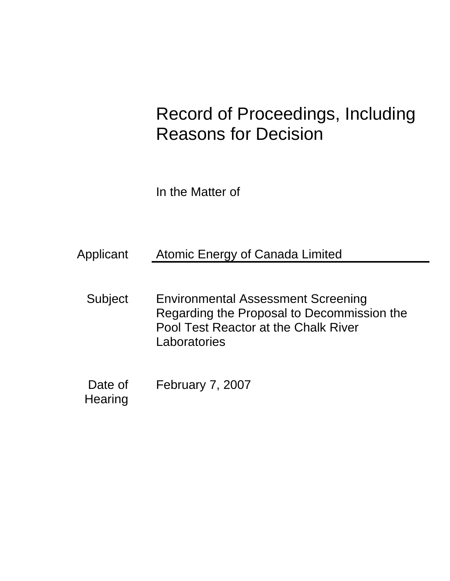# Record of Proceedings, Including Reasons for Decision

In the Matter of

| Applicant | Atomic Energy of Canada Limited |  |  |  |
|-----------|---------------------------------|--|--|--|
|           |                                 |  |  |  |
|           |                                 |  |  |  |
|           |                                 |  |  |  |

- Subject Environmental Assessment Screening Regarding the Proposal to Decommission the Pool Test Reactor at the Chalk River **Laboratories**
- Date of February 7, 2007

**Hearing**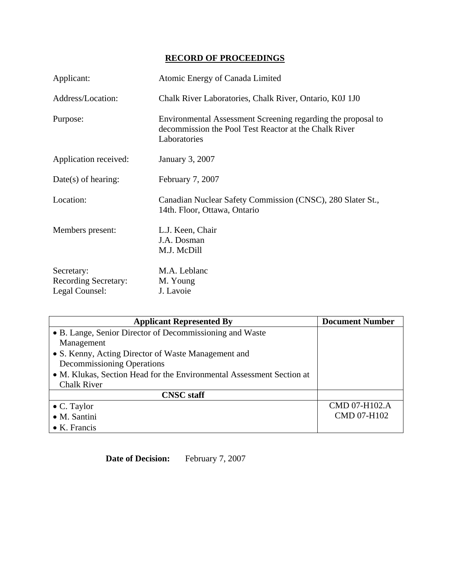## **RECORD OF PROCEEDINGS**

| Applicant:                                                  | Atomic Energy of Canada Limited                                                                                                       |
|-------------------------------------------------------------|---------------------------------------------------------------------------------------------------------------------------------------|
| Address/Location:                                           | Chalk River Laboratories, Chalk River, Ontario, K0J 1J0                                                                               |
| Purpose:                                                    | Environmental Assessment Screening regarding the proposal to<br>decommission the Pool Test Reactor at the Chalk River<br>Laboratories |
| Application received:                                       | January 3, 2007                                                                                                                       |
| $Date(s)$ of hearing:                                       | February 7, 2007                                                                                                                      |
| Location:                                                   | Canadian Nuclear Safety Commission (CNSC), 280 Slater St.,<br>14th. Floor, Ottawa, Ontario                                            |
| Members present:                                            | L.J. Keen, Chair<br>J.A. Dosman<br>M.J. McDill                                                                                        |
| Secretary:<br><b>Recording Secretary:</b><br>Legal Counsel: | M.A. Leblanc<br>M. Young<br>J. Lavoie                                                                                                 |

| <b>Applicant Represented By</b>                                       | <b>Document Number</b> |
|-----------------------------------------------------------------------|------------------------|
| • B. Lange, Senior Director of Decommissioning and Waste              |                        |
| Management                                                            |                        |
| • S. Kenny, Acting Director of Waste Management and                   |                        |
| <b>Decommissioning Operations</b>                                     |                        |
| • M. Klukas, Section Head for the Environmental Assessment Section at |                        |
| <b>Chalk River</b>                                                    |                        |
| <b>CNSC</b> staff                                                     |                        |
| $\bullet$ C. Taylor                                                   | CMD 07-H102.A          |
| • M. Santini                                                          | <b>CMD 07-H102</b>     |
| $\bullet$ K. Francis                                                  |                        |

**Date of Decision:** February 7, 2007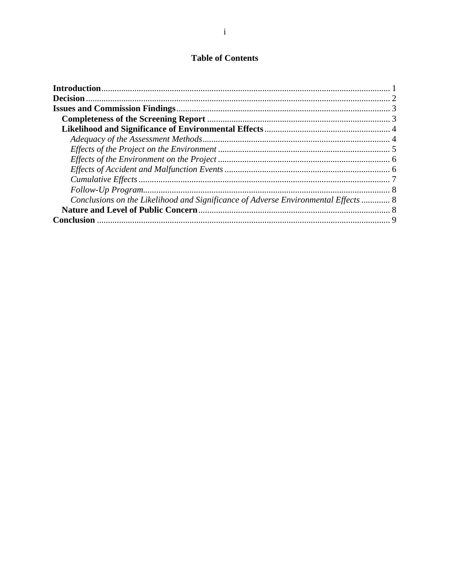### **Table of Contents**

| Conclusions on the Likelihood and Significance of Adverse Environmental Effects  8 |  |
|------------------------------------------------------------------------------------|--|
|                                                                                    |  |
|                                                                                    |  |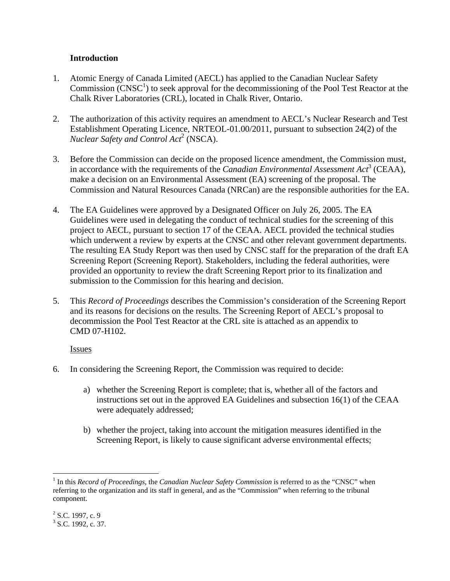#### **Introduction**

- 1. Atomic Energy of Canada Limited (AECL) has applied to the Canadian Nuclear Safety Commission  $\rm (CNSC<sup>1</sup>)$  to seek approval for the decommissioning of the Pool Test Reactor at the Chalk River Laboratories (CRL), located in Chalk River, Ontario.
- 2. The authorization of this activity requires an amendment to AECL's Nuclear Research and Test Establishment Operating Licence, NRTEOL-01.00/2011, pursuant to subsection 24(2) of the *Nuclear Safety and Control Act*<sup>2</sup> (NSCA).
- 3. Before the Commission can decide on the proposed licence amendment, the Commission must, in accordance with the requirements of the *Canadian Environmental Assessment Act*<sup>3</sup> (CEAA), make a decision on an Environmental Assessment (EA) screening of the proposal. The Commission and Natural Resources Canada (NRCan) are the responsible authorities for the EA.
- 4. The EA Guidelines were approved by a Designated Officer on July 26, 2005. The EA Guidelines were used in delegating the conduct of technical studies for the screening of this project to AECL, pursuant to section 17 of the CEAA. AECL provided the technical studies which underwent a review by experts at the CNSC and other relevant government departments. The resulting EA Study Report was then used by CNSC staff for the preparation of the draft EA Screening Report (Screening Report). Stakeholders, including the federal authorities, were provided an opportunity to review the draft Screening Report prior to its finalization and submission to the Commission for this hearing and decision.
- 5. This *Record of Proceedings* describes the Commission's consideration of the Screening Report and its reasons for decisions on the results. The Screening Report of AECL's proposal to decommission the Pool Test Reactor at the CRL site is attached as an appendix to CMD 07-H102.

#### Issues

- 6. In considering the Screening Report, the Commission was required to decide:
	- a) whether the Screening Report is complete; that is, whether all of the factors and instructions set out in the approved EA Guidelines and subsection 16(1) of the CEAA were adequately addressed;
	- b) whether the project, taking into account the mitigation measures identified in the Screening Report, is likely to cause significant adverse environmental effects;

<sup>1</sup> <sup>1</sup> In this *Record of Proceedings*, the *Canadian Nuclear Safety Commission* is referred to as the "CNSC" when referring to the organization and its staff in general, and as the "Commission" when referring to the tribunal component.

 $2^2$  S.C. 1997, c. 9

 $3$  S.C. 1992, c. 37.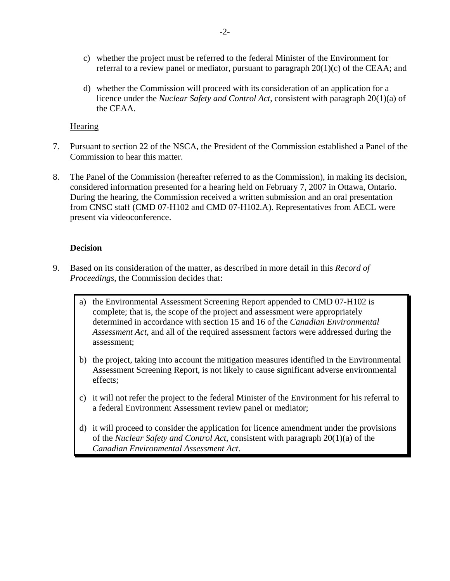- c) whether the project must be referred to the federal Minister of the Environment for referral to a review panel or mediator, pursuant to paragraph  $20(1)(c)$  of the CEAA; and
- d) whether the Commission will proceed with its consideration of an application for a licence under the *Nuclear Safety and Control Act*, consistent with paragraph 20(1)(a) of the CEAA.

#### **Hearing**

- 7. Pursuant to section 22 of the NSCA, the President of the Commission established a Panel of the Commission to hear this matter.
- 8. The Panel of the Commission (hereafter referred to as the Commission), in making its decision, considered information presented for a hearing held on February 7, 2007 in Ottawa, Ontario. During the hearing, the Commission received a written submission and an oral presentation from CNSC staff (CMD 07-H102 and CMD 07-H102.A). Representatives from AECL were present via videoconference.

#### **Decision**

- 9. Based on its consideration of the matter, as described in more detail in this *Record of Proceedings,* the Commission decides that:
	- a) the Environmental Assessment Screening Report appended to CMD 07-H102 is complete; that is, the scope of the project and assessment were appropriately determined in accordance with section 15 and 16 of the *Canadian Environmental Assessment Act*, and all of the required assessment factors were addressed during the assessment;
	- b) the project, taking into account the mitigation measures identified in the Environmental Assessment Screening Report, is not likely to cause significant adverse environmental effects;
	- c) it will not refer the project to the federal Minister of the Environment for his referral to a federal Environment Assessment review panel or mediator;
	- d) it will proceed to consider the application for licence amendment under the provisions of the *Nuclear Safety and Control Act*, consistent with paragraph 20(1)(a) of the *Canadian Environmental Assessment Act*.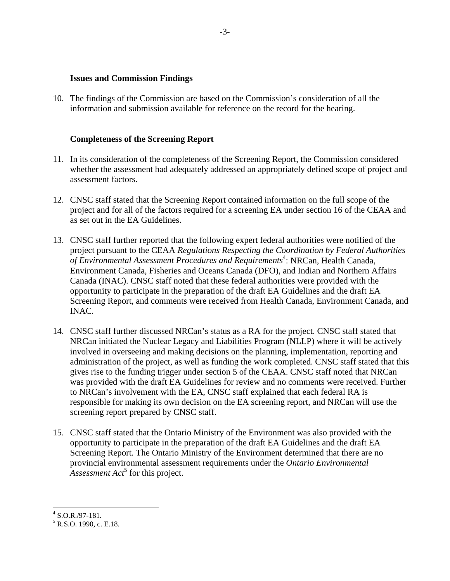#### **Issues and Commission Findings**

10. The findings of the Commission are based on the Commission's consideration of all the information and submission available for reference on the record for the hearing.

#### **Completeness of the Screening Report**

- 11. In its consideration of the completeness of the Screening Report, the Commission considered whether the assessment had adequately addressed an appropriately defined scope of project and assessment factors.
- 12. CNSC staff stated that the Screening Report contained information on the full scope of the project and for all of the factors required for a screening EA under section 16 of the CEAA and as set out in the EA Guidelines.
- 13. CNSC staff further reported that the following expert federal authorities were notified of the project pursuant to the CEAA *Regulations Respecting the Coordination by Federal Authorities of Environmental Assessment Procedures and Requirements*<sup>4</sup> : NRCan, Health Canada, Environment Canada, Fisheries and Oceans Canada (DFO), and Indian and Northern Affairs Canada (INAC). CNSC staff noted that these federal authorities were provided with the opportunity to participate in the preparation of the draft EA Guidelines and the draft EA Screening Report, and comments were received from Health Canada, Environment Canada, and INAC.
- 14. CNSC staff further discussed NRCan's status as a RA for the project. CNSC staff stated that NRCan initiated the Nuclear Legacy and Liabilities Program (NLLP) where it will be actively involved in overseeing and making decisions on the planning, implementation, reporting and administration of the project, as well as funding the work completed. CNSC staff stated that this gives rise to the funding trigger under section 5 of the CEAA. CNSC staff noted that NRCan was provided with the draft EA Guidelines for review and no comments were received. Further to NRCan's involvement with the EA, CNSC staff explained that each federal RA is responsible for making its own decision on the EA screening report, and NRCan will use the screening report prepared by CNSC staff.
- 15. CNSC staff stated that the Ontario Ministry of the Environment was also provided with the opportunity to participate in the preparation of the draft EA Guidelines and the draft EA Screening Report. The Ontario Ministry of the Environment determined that there are no provincial environmental assessment requirements under the *Ontario Environmental*  Assessment Act<sup>5</sup> for this project.

 $4$  S.O.R./97-181.

 $<sup>5</sup>$  R.S.O. 1990, c. E.18.</sup>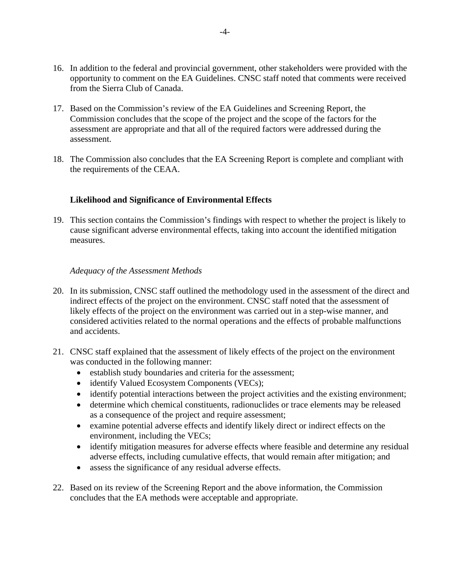- 16. In addition to the federal and provincial government, other stakeholders were provided with the opportunity to comment on the EA Guidelines. CNSC staff noted that comments were received from the Sierra Club of Canada.
- 17. Based on the Commission's review of the EA Guidelines and Screening Report, the Commission concludes that the scope of the project and the scope of the factors for the assessment are appropriate and that all of the required factors were addressed during the assessment.
- 18. The Commission also concludes that the EA Screening Report is complete and compliant with the requirements of the CEAA.

#### **Likelihood and Significance of Environmental Effects**

19. This section contains the Commission's findings with respect to whether the project is likely to cause significant adverse environmental effects, taking into account the identified mitigation measures.

#### *Adequacy of the Assessment Methods*

- 20. In its submission, CNSC staff outlined the methodology used in the assessment of the direct and indirect effects of the project on the environment. CNSC staff noted that the assessment of likely effects of the project on the environment was carried out in a step-wise manner, and considered activities related to the normal operations and the effects of probable malfunctions and accidents.
- 21. CNSC staff explained that the assessment of likely effects of the project on the environment was conducted in the following manner:
	- establish study boundaries and criteria for the assessment;
	- identify Valued Ecosystem Components (VECs);
	- identify potential interactions between the project activities and the existing environment;
	- determine which chemical constituents, radionuclides or trace elements may be released as a consequence of the project and require assessment;
	- examine potential adverse effects and identify likely direct or indirect effects on the environment, including the VECs;
	- identify mitigation measures for adverse effects where feasible and determine any residual adverse effects, including cumulative effects, that would remain after mitigation; and
	- assess the significance of any residual adverse effects.
- 22. Based on its review of the Screening Report and the above information, the Commission concludes that the EA methods were acceptable and appropriate.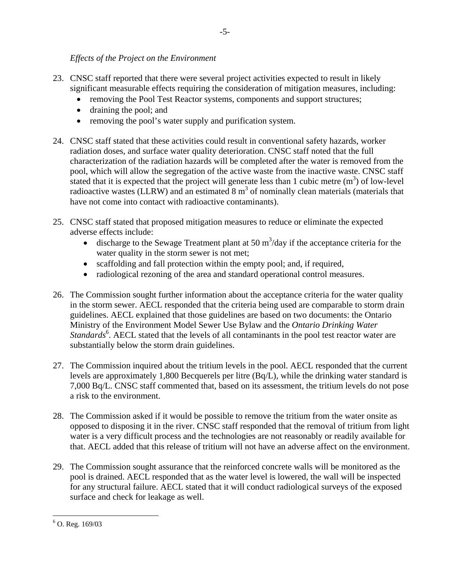#### *Effects of the Project on the Environment*

- 23. CNSC staff reported that there were several project activities expected to result in likely significant measurable effects requiring the consideration of mitigation measures, including:
	- removing the Pool Test Reactor systems, components and support structures;
	- draining the pool; and
	- removing the pool's water supply and purification system.
- 24. CNSC staff stated that these activities could result in conventional safety hazards, worker radiation doses, and surface water quality deterioration. CNSC staff noted that the full characterization of the radiation hazards will be completed after the water is removed from the pool, which will allow the segregation of the active waste from the inactive waste. CNSC staff stated that it is expected that the project will generate less than 1 cubic metre  $(m<sup>3</sup>)$  of low-level radioactive wastes (LLRW) and an estimated  $8 \text{ m}^3$  of nominally clean materials (materials that have not come into contact with radioactive contaminants).
- 25. CNSC staff stated that proposed mitigation measures to reduce or eliminate the expected adverse effects include:
	- discharge to the Sewage Treatment plant at 50  $\text{m}^3/\text{day}$  if the acceptance criteria for the water quality in the storm sewer is not met;
	- scaffolding and fall protection within the empty pool; and, if required,
	- radiological rezoning of the area and standard operational control measures.
- 26. The Commission sought further information about the acceptance criteria for the water quality in the storm sewer. AECL responded that the criteria being used are comparable to storm drain guidelines. AECL explained that those guidelines are based on two documents: the Ontario Ministry of the Environment Model Sewer Use Bylaw and the *Ontario Drinking Water*  Standards<sup>6</sup>. AECL stated that the levels of all contaminants in the pool test reactor water are substantially below the storm drain guidelines.
- 27. The Commission inquired about the tritium levels in the pool. AECL responded that the current levels are approximately 1,800 Becquerels per litre (Bq/L), while the drinking water standard is 7,000 Bq/L. CNSC staff commented that, based on its assessment, the tritium levels do not pose a risk to the environment.
- 28. The Commission asked if it would be possible to remove the tritium from the water onsite as opposed to disposing it in the river. CNSC staff responded that the removal of tritium from light water is a very difficult process and the technologies are not reasonably or readily available for that. AECL added that this release of tritium will not have an adverse affect on the environment.
- 29. The Commission sought assurance that the reinforced concrete walls will be monitored as the pool is drained. AECL responded that as the water level is lowered, the wall will be inspected for any structural failure. AECL stated that it will conduct radiological surveys of the exposed surface and check for leakage as well.

 $\overline{a}$  $6$  O. Reg. 169/03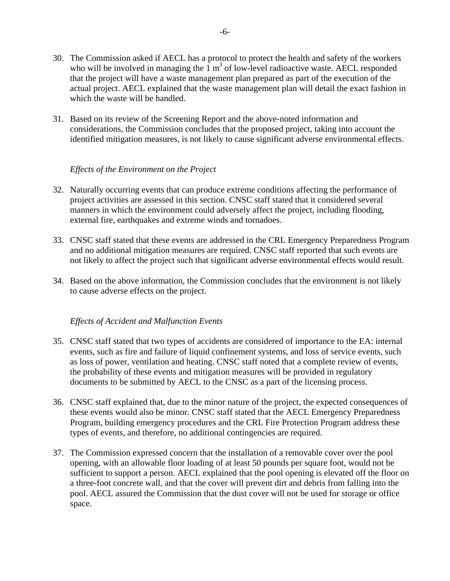- 30. The Commission asked if AECL has a protocol to protect the health and safety of the workers who will be involved in managing the  $1 \text{ m}^3$  of low-level radioactive waste. AECL responded that the project will have a waste management plan prepared as part of the execution of the actual project. AECL explained that the waste management plan will detail the exact fashion in which the waste will be handled.
- 31. Based on its review of the Screening Report and the above-noted information and considerations, the Commission concludes that the proposed project, taking into account the identified mitigation measures, is not likely to cause significant adverse environmental effects.

#### *Effects of the Environment on the Project*

- 32. Naturally occurring events that can produce extreme conditions affecting the performance of project activities are assessed in this section. CNSC staff stated that it considered several manners in which the environment could adversely affect the project, including flooding, external fire, earthquakes and extreme winds and tornadoes.
- 33. CNSC staff stated that these events are addressed in the CRL Emergency Preparedness Program and no additional mitigation measures are required. CNSC staff reported that such events are not likely to affect the project such that significant adverse environmental effects would result.
- 34. Based on the above information, the Commission concludes that the environment is not likely to cause adverse effects on the project.

#### *Effects of Accident and Malfunction Events*

- 35. CNSC staff stated that two types of accidents are considered of importance to the EA: internal events, such as fire and failure of liquid confinement systems, and loss of service events, such as loss of power, ventilation and heating. CNSC staff noted that a complete review of events, the probability of these events and mitigation measures will be provided in regulatory documents to be submitted by AECL to the CNSC as a part of the licensing process.
- 36. CNSC staff explained that, due to the minor nature of the project, the expected consequences of these events would also be minor. CNSC staff stated that the AECL Emergency Preparedness Program, building emergency procedures and the CRL Fire Protection Program address these types of events, and therefore, no additional contingencies are required.
- 37. The Commission expressed concern that the installation of a removable cover over the pool opening, with an allowable floor loading of at least 50 pounds per square foot, would not be sufficient to support a person. AECL explained that the pool opening is elevated off the floor on a three-foot concrete wall, and that the cover will prevent dirt and debris from falling into the pool. AECL assured the Commission that the dust cover will not be used for storage or office space.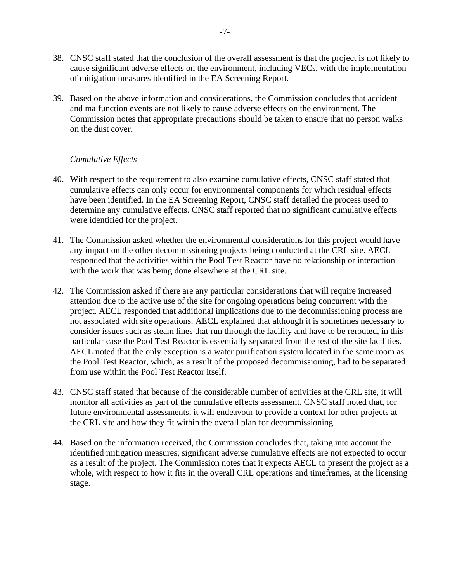- 38. CNSC staff stated that the conclusion of the overall assessment is that the project is not likely to cause significant adverse effects on the environment, including VECs, with the implementation of mitigation measures identified in the EA Screening Report.
- 39. Based on the above information and considerations, the Commission concludes that accident and malfunction events are not likely to cause adverse effects on the environment. The Commission notes that appropriate precautions should be taken to ensure that no person walks on the dust cover.

#### *Cumulative Effects*

- 40. With respect to the requirement to also examine cumulative effects, CNSC staff stated that cumulative effects can only occur for environmental components for which residual effects have been identified. In the EA Screening Report, CNSC staff detailed the process used to determine any cumulative effects. CNSC staff reported that no significant cumulative effects were identified for the project.
- 41. The Commission asked whether the environmental considerations for this project would have any impact on the other decommissioning projects being conducted at the CRL site. AECL responded that the activities within the Pool Test Reactor have no relationship or interaction with the work that was being done elsewhere at the CRL site.
- 42. The Commission asked if there are any particular considerations that will require increased attention due to the active use of the site for ongoing operations being concurrent with the project. AECL responded that additional implications due to the decommissioning process are not associated with site operations. AECL explained that although it is sometimes necessary to consider issues such as steam lines that run through the facility and have to be rerouted, in this particular case the Pool Test Reactor is essentially separated from the rest of the site facilities. AECL noted that the only exception is a water purification system located in the same room as the Pool Test Reactor, which, as a result of the proposed decommissioning, had to be separated from use within the Pool Test Reactor itself.
- 43. CNSC staff stated that because of the considerable number of activities at the CRL site, it will monitor all activities as part of the cumulative effects assessment. CNSC staff noted that, for future environmental assessments, it will endeavour to provide a context for other projects at the CRL site and how they fit within the overall plan for decommissioning.
- 44. Based on the information received, the Commission concludes that, taking into account the identified mitigation measures, significant adverse cumulative effects are not expected to occur as a result of the project. The Commission notes that it expects AECL to present the project as a whole, with respect to how it fits in the overall CRL operations and timeframes, at the licensing stage.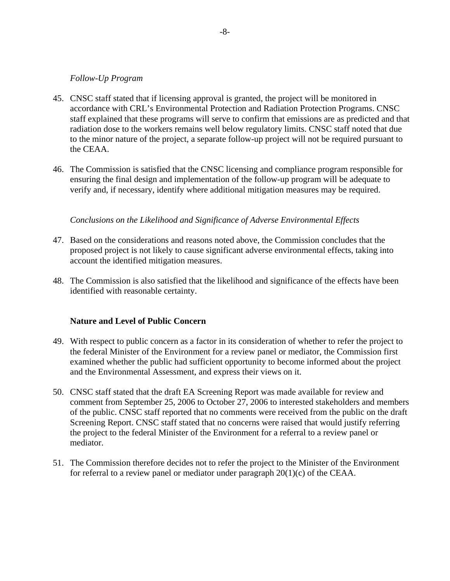#### *Follow-Up Program*

- 45. CNSC staff stated that if licensing approval is granted, the project will be monitored in accordance with CRL's Environmental Protection and Radiation Protection Programs. CNSC staff explained that these programs will serve to confirm that emissions are as predicted and that radiation dose to the workers remains well below regulatory limits. CNSC staff noted that due to the minor nature of the project, a separate follow-up project will not be required pursuant to the CEAA.
- 46. The Commission is satisfied that the CNSC licensing and compliance program responsible for ensuring the final design and implementation of the follow-up program will be adequate to verify and, if necessary, identify where additional mitigation measures may be required.

#### *Conclusions on the Likelihood and Significance of Adverse Environmental Effects*

- 47. Based on the considerations and reasons noted above, the Commission concludes that the proposed project is not likely to cause significant adverse environmental effects, taking into account the identified mitigation measures.
- 48. The Commission is also satisfied that the likelihood and significance of the effects have been identified with reasonable certainty.

#### **Nature and Level of Public Concern**

- 49. With respect to public concern as a factor in its consideration of whether to refer the project to the federal Minister of the Environment for a review panel or mediator, the Commission first examined whether the public had sufficient opportunity to become informed about the project and the Environmental Assessment, and express their views on it.
- 50. CNSC staff stated that the draft EA Screening Report was made available for review and comment from September 25, 2006 to October 27, 2006 to interested stakeholders and members of the public. CNSC staff reported that no comments were received from the public on the draft Screening Report. CNSC staff stated that no concerns were raised that would justify referring the project to the federal Minister of the Environment for a referral to a review panel or mediator.
- 51. The Commission therefore decides not to refer the project to the Minister of the Environment for referral to a review panel or mediator under paragraph 20(1)(c) of the CEAA.